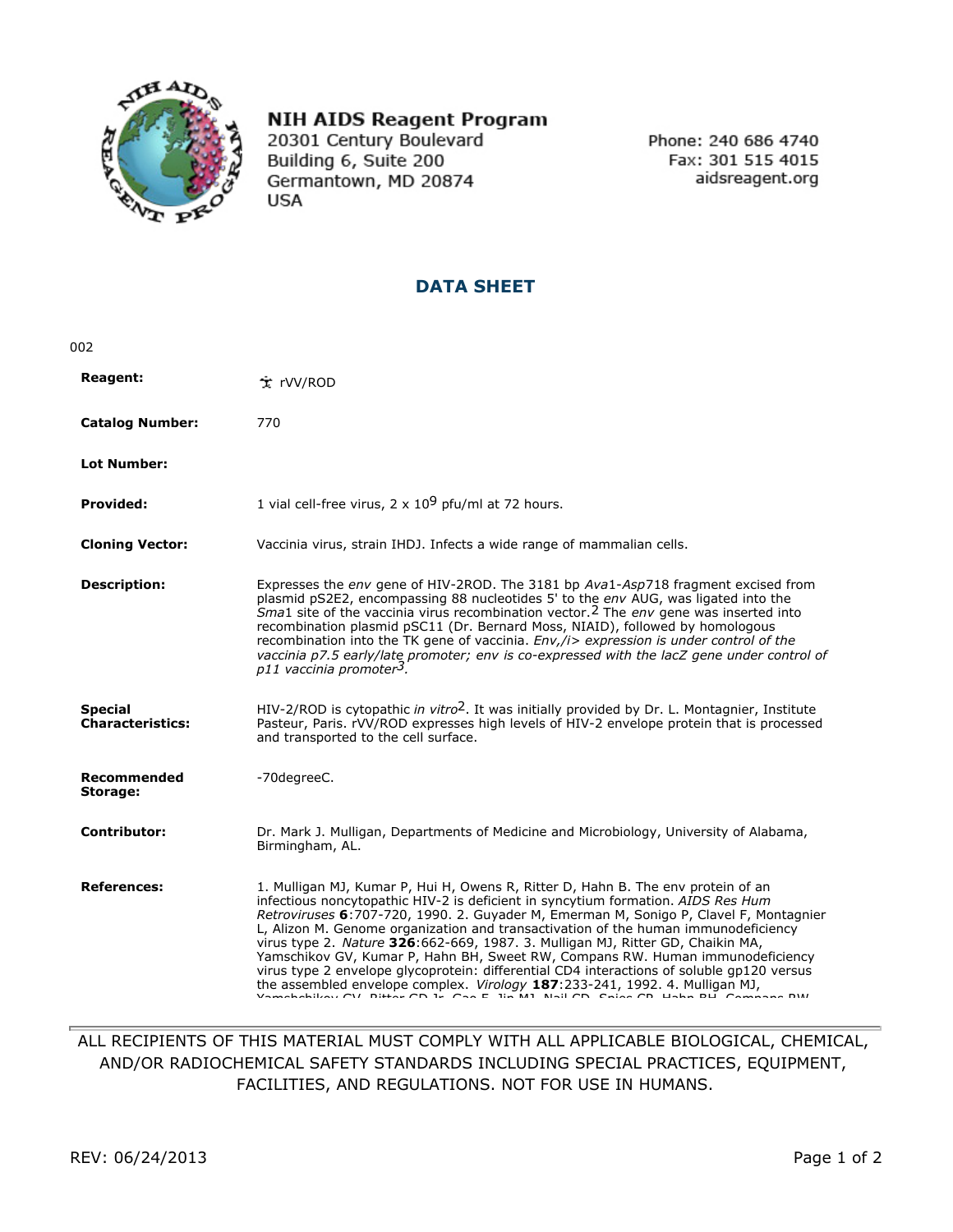

## **NIH AIDS Reagent Program**

20301 Century Boulevard Building 6, Suite 200 Germantown, MD 20874 **USA** 

Phone: 240 686 4740 Fax: 301 515 4015 aidsreagent.org

## **DATA SHEET**

| 002                                       |                                                                                                                                                                                                                                                                                                                                                                                                                                                                                                                                                                                                                                                                                                    |
|-------------------------------------------|----------------------------------------------------------------------------------------------------------------------------------------------------------------------------------------------------------------------------------------------------------------------------------------------------------------------------------------------------------------------------------------------------------------------------------------------------------------------------------------------------------------------------------------------------------------------------------------------------------------------------------------------------------------------------------------------------|
| <b>Reagent:</b>                           | 文 rVV/ROD                                                                                                                                                                                                                                                                                                                                                                                                                                                                                                                                                                                                                                                                                          |
| <b>Catalog Number:</b>                    | 770                                                                                                                                                                                                                                                                                                                                                                                                                                                                                                                                                                                                                                                                                                |
| <b>Lot Number:</b>                        |                                                                                                                                                                                                                                                                                                                                                                                                                                                                                                                                                                                                                                                                                                    |
| <b>Provided:</b>                          | 1 vial cell-free virus, $2 \times 10^9$ pfu/ml at 72 hours.                                                                                                                                                                                                                                                                                                                                                                                                                                                                                                                                                                                                                                        |
| <b>Cloning Vector:</b>                    | Vaccinia virus, strain IHDJ. Infects a wide range of mammalian cells.                                                                                                                                                                                                                                                                                                                                                                                                                                                                                                                                                                                                                              |
| <b>Description:</b>                       | Expresses the env gene of HIV-2ROD. The 3181 bp Ava1-Asp718 fragment excised from<br>plasmid pS2E2, encompassing 88 nucleotides 5' to the env AUG, was ligated into the<br><i>Sma1</i> site of the vaccinia virus recombination vector. <sup>2</sup> The env gene was inserted into<br>recombination plasmid pSC11 (Dr. Bernard Moss, NIAID), followed by homologous<br>recombination into the TK gene of vaccinia. Env,/i> expression is under control of the<br>vaccinia p7.5 early/late promoter; env is co-expressed with the lacZ gene under control of<br>p11 vaccinia promoter3.                                                                                                            |
| <b>Special</b><br><b>Characteristics:</b> | HIV-2/ROD is cytopathic in vitro <sup>2</sup> . It was initially provided by Dr. L. Montagnier, Institute<br>Pasteur, Paris. rVV/ROD expresses high levels of HIV-2 envelope protein that is processed<br>and transported to the cell surface.                                                                                                                                                                                                                                                                                                                                                                                                                                                     |
| <b>Recommended</b><br>Storage:            | -70degreeC.                                                                                                                                                                                                                                                                                                                                                                                                                                                                                                                                                                                                                                                                                        |
| Contributor:                              | Dr. Mark J. Mulligan, Departments of Medicine and Microbiology, University of Alabama,<br>Birmingham, AL.                                                                                                                                                                                                                                                                                                                                                                                                                                                                                                                                                                                          |
| <b>References:</b>                        | 1. Mulligan MJ, Kumar P, Hui H, Owens R, Ritter D, Hahn B. The env protein of an<br>infectious noncytopathic HIV-2 is deficient in syncytium formation. AIDS Res Hum<br>Retroviruses 6:707-720, 1990. 2. Guyader M, Emerman M, Sonigo P, Clavel F, Montagnier<br>L, Alizon M. Genome organization and transactivation of the human immunodeficiency<br>virus type 2. Nature 326:662-669, 1987. 3. Mulligan MJ, Ritter GD, Chaikin MA,<br>Yamschikov GV, Kumar P, Hahn BH, Sweet RW, Compans RW. Human immunodeficiency<br>virus type 2 envelope glycoprotein: differential CD4 interactions of soluble gp120 versus<br>the assembled envelope complex. Virology 187:233-241, 1992. 4. Mulligan MJ, |

ALL RECIPIENTS OF THIS MATERIAL MUST COMPLY WITH ALL APPLICABLE BIOLOGICAL, CHEMICAL, AND/OR RADIOCHEMICAL SAFETY STANDARDS INCLUDING SPECIAL PRACTICES, EQUIPMENT, FACILITIES, AND REGULATIONS. NOT FOR USE IN HUMANS.